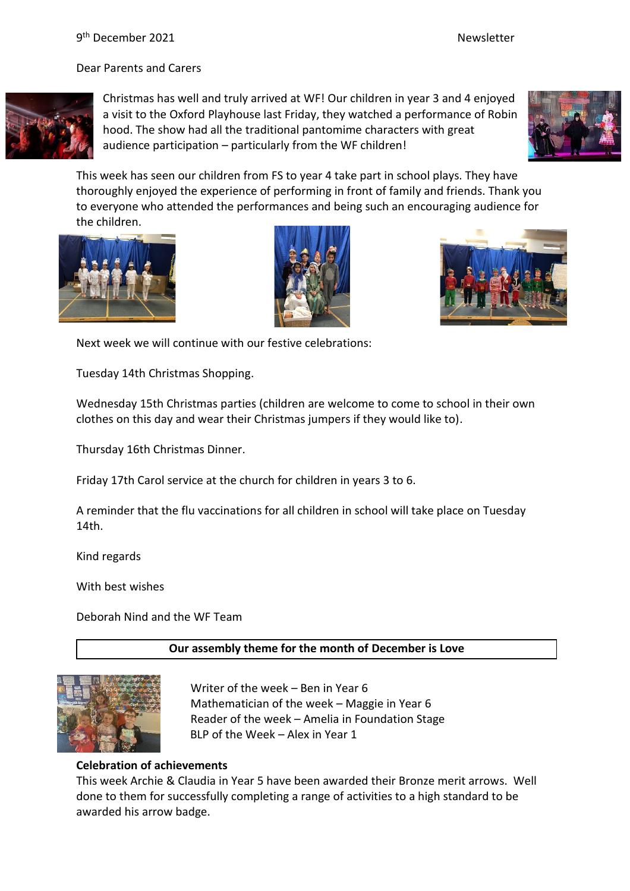Dear Parents and Carers



Christmas has well and truly arrived at WF! Our children in year 3 and 4 enjoyed a visit to the Oxford Playhouse last Friday, they watched a performance of Robin hood. The show had all the traditional pantomime characters with great audience participation – particularly from the WF children!



This week has seen our children from FS to year 4 take part in school plays. They have thoroughly enjoyed the experience of performing in front of family and friends. Thank you to everyone who attended the performances and being such an encouraging audience for the children.







Next week we will continue with our festive celebrations:

Tuesday 14th Christmas Shopping.

Wednesday 15th Christmas parties (children are welcome to come to school in their own clothes on this day and wear their Christmas jumpers if they would like to).

Thursday 16th Christmas Dinner.

Friday 17th Carol service at the church for children in years 3 to 6.

A reminder that the flu vaccinations for all children in school will take place on Tuesday 14th.

Kind regards

With best wishes

Deborah Nind and the WF Team

**Our assembly theme for the month of December is Love**



Writer of the week – Ben in Year 6 Mathematician of the week – Maggie in Year 6 Reader of the week – Amelia in Foundation Stage BLP of the Week – Alex in Year 1

# **Celebration of achievements**

This week Archie & Claudia in Year 5 have been awarded their Bronze merit arrows. Well done to them for successfully completing a range of activities to a high standard to be awarded his arrow badge.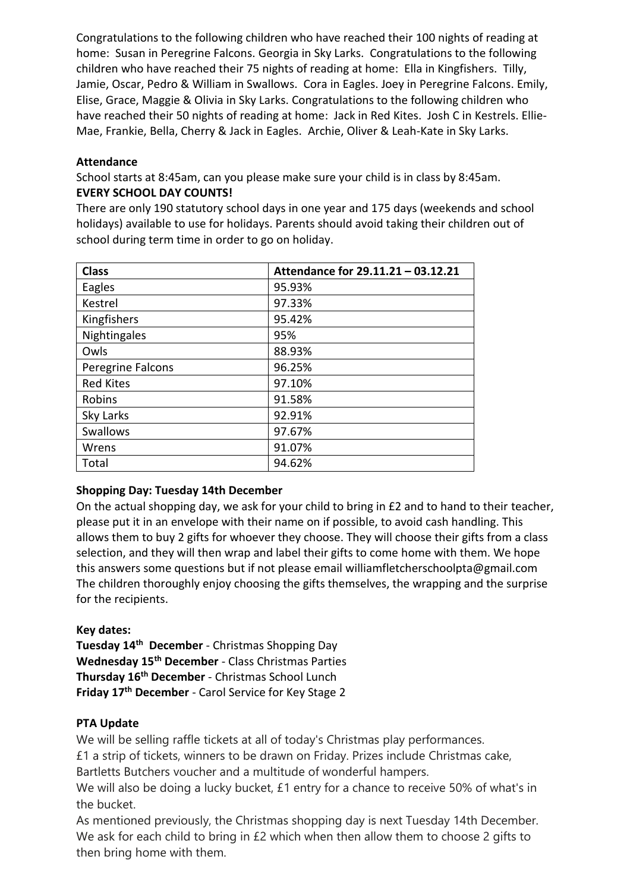Congratulations to the following children who have reached their 100 nights of reading at home: Susan in Peregrine Falcons. Georgia in Sky Larks. Congratulations to the following children who have reached their 75 nights of reading at home: Ella in Kingfishers. Tilly, Jamie, Oscar, Pedro & William in Swallows. Cora in Eagles. Joey in Peregrine Falcons. Emily, Elise, Grace, Maggie & Olivia in Sky Larks. Congratulations to the following children who have reached their 50 nights of reading at home: Jack in Red Kites. Josh C in Kestrels. Ellie-Mae, Frankie, Bella, Cherry & Jack in Eagles. Archie, Oliver & Leah-Kate in Sky Larks.

# **Attendance**

School starts at 8:45am, can you please make sure your child is in class by 8:45am. **EVERY SCHOOL DAY COUNTS!**

There are only 190 statutory school days in one year and 175 days (weekends and school holidays) available to use for holidays. Parents should avoid taking their children out of school during term time in order to go on holiday.

| <b>Class</b>      | Attendance for 29.11.21 - 03.12.21 |
|-------------------|------------------------------------|
| Eagles            | 95.93%                             |
| Kestrel           | 97.33%                             |
| Kingfishers       | 95.42%                             |
| Nightingales      | 95%                                |
| Owls              | 88.93%                             |
| Peregrine Falcons | 96.25%                             |
| <b>Red Kites</b>  | 97.10%                             |
| Robins            | 91.58%                             |
| Sky Larks         | 92.91%                             |
| <b>Swallows</b>   | 97.67%                             |
| Wrens             | 91.07%                             |
| Total             | 94.62%                             |

# **Shopping Day: Tuesday 14th December**

On the actual shopping day, we ask for your child to bring in £2 and to hand to their teacher, please put it in an envelope with their name on if possible, to avoid cash handling. This allows them to buy 2 gifts for whoever they choose. They will choose their gifts from a class selection, and they will then wrap and label their gifts to come home with them. We hope this answers some questions but if not please email williamfletcherschoolpta@gmail.com The children thoroughly enjoy choosing the gifts themselves, the wrapping and the surprise for the recipients.

# **Key dates:**

**Tuesday 14th December** - Christmas Shopping Day **Wednesday 15th December** - Class Christmas Parties **Thursday 16th December** - Christmas School Lunch **Friday 17th December** - Carol Service for Key Stage 2

# **PTA Update**

We will be selling raffle tickets at all of today's Christmas play performances.

£1 a strip of tickets, winners to be drawn on Friday. Prizes include Christmas cake,

Bartletts Butchers voucher and a multitude of wonderful hampers.

We will also be doing a lucky bucket, £1 entry for a chance to receive 50% of what's in the bucket.

As mentioned previously, the Christmas shopping day is next Tuesday 14th December. We ask for each child to bring in £2 which when then allow them to choose 2 gifts to then bring home with them.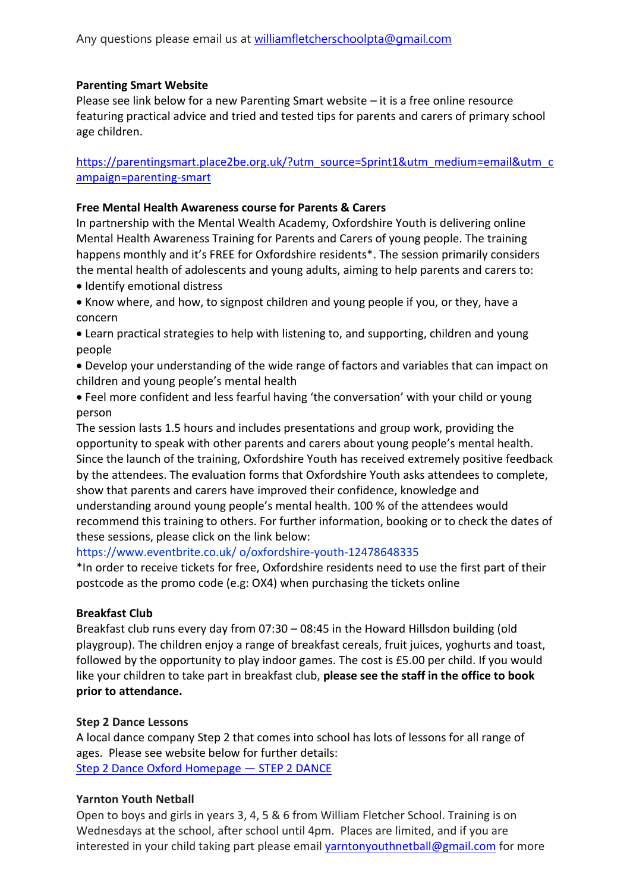#### **Parenting Smart Website**

Please see link below for a new Parenting Smart website – it is a free online resource featuring practical advice and tried and tested tips for parents and carers of primary school age children.

[https://parentingsmart.place2be.org.uk/?utm\\_source=Sprint1&utm\\_medium=email&utm\\_c](https://parentingsmart.place2be.org.uk/?utm_source=Sprint1&utm_medium=email&utm_campaign=parenting-smart) [ampaign=parenting-smart](https://parentingsmart.place2be.org.uk/?utm_source=Sprint1&utm_medium=email&utm_campaign=parenting-smart)

#### **Free Mental Health Awareness course for Parents & Carers**

In partnership with the Mental Wealth Academy, Oxfordshire Youth is delivering online Mental Health Awareness Training for Parents and Carers of young people. The training happens monthly and it's FREE for Oxfordshire residents\*. The session primarily considers the mental health of adolescents and young adults, aiming to help parents and carers to:

- Identify emotional distress
- Know where, and how, to signpost children and young people if you, or they, have a concern
- Learn practical strategies to help with listening to, and supporting, children and young people
- Develop your understanding of the wide range of factors and variables that can impact on children and young people's mental health
- Feel more confident and less fearful having 'the conversation' with your child or young person

The session lasts 1.5 hours and includes presentations and group work, providing the opportunity to speak with other parents and carers about young people's mental health. Since the launch of the training, Oxfordshire Youth has received extremely positive feedback by the attendees. The evaluation forms that Oxfordshire Youth asks attendees to complete, show that parents and carers have improved their confidence, knowledge and understanding around young people's mental health. 100 % of the attendees would recommend this training to others. For further information, booking or to check the dates of these sessions, please click on the link below:

https://www.eventbrite.co.uk/ o/oxfordshire-youth-12478648335

\*In order to receive tickets for free, Oxfordshire residents need to use the first part of their postcode as the promo code (e.g: OX4) when purchasing the tickets online

#### **Breakfast Club**

Breakfast club runs every day from 07:30 – 08:45 in the Howard Hillsdon building (old playgroup). The children enjoy a range of breakfast cereals, fruit juices, yoghurts and toast, followed by the opportunity to play indoor games. The cost is £5.00 per child. If you would like your children to take part in breakfast club, **please see the staff in the office to book prior to attendance.**

#### **Step 2 Dance Lessons**

A local dance company Step 2 that comes into school has lots of lessons for all range of ages. Please see website below for further details: [Step 2 Dance Oxford Homepage](https://www.step2dance.co.uk/home) — STEP 2 DANCE

#### **Yarnton Youth Netball**

Open to boys and girls in years 3, 4, 5 & 6 from William Fletcher School. Training is on Wednesdays at the school, after school until 4pm. Places are limited, and if you are interested in your child taking part please email [yarntonyouthnetball@gmail.com](mailto:yarntonyouthnetball@gmail.com) for more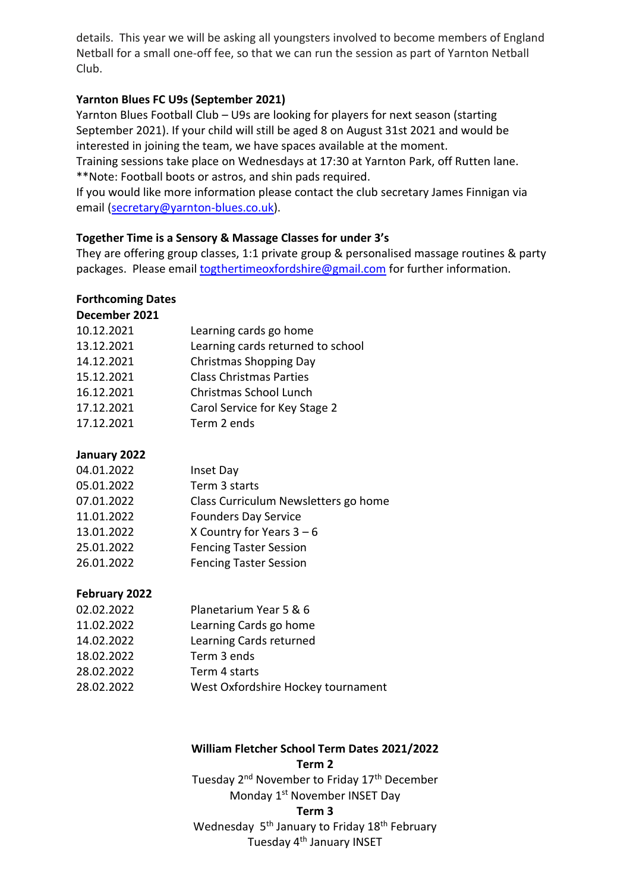details. This year we will be asking all youngsters involved to become members of England Netball for a small one-off fee, so that we can run the session as part of Yarnton Netball Club.

## **Yarnton Blues FC U9s (September 2021)**

Yarnton Blues Football Club – U9s are looking for players for next season (starting September 2021). If your child will still be aged 8 on August 31st 2021 and would be interested in joining the team, we have spaces available at the moment. Training sessions take place on Wednesdays at 17:30 at Yarnton Park, off Rutten lane. \*\*Note: Football boots or astros, and shin pads required.

If you would like more information please contact the club secretary James Finnigan via email [\(secretary@yarnton-blues.co.uk\)](mailto:secretary@yarnton-blues.co.uk).

## **Together Time is a Sensory & Massage Classes for under 3's**

They are offering group classes, 1:1 private group & personalised massage routines & party packages. Please email **togthertimeoxfordshire@gmail.com** for further information.

#### **Forthcoming Dates December 2021**

| DELENNEL LULL |                                   |
|---------------|-----------------------------------|
| 10.12.2021    | Learning cards go home            |
| 13.12.2021    | Learning cards returned to school |
| 14.12.2021    | Christmas Shopping Day            |
| 15.12.2021    | <b>Class Christmas Parties</b>    |
| 16.12.2021    | Christmas School Lunch            |
| 17.12.2021    | Carol Service for Key Stage 2     |
| 17.12.2021    | Term 2 ends                       |
|               |                                   |

# **January 2022**

| 04.01.2022 | Inset Day                            |
|------------|--------------------------------------|
| 05.01.2022 | Term 3 starts                        |
| 07.01.2022 | Class Curriculum Newsletters go home |
| 11.01.2022 | <b>Founders Day Service</b>          |
| 13.01.2022 | X Country for Years $3-6$            |
| 25.01.2022 | <b>Fencing Taster Session</b>        |
| 26.01.2022 | <b>Fencing Taster Session</b>        |
|            |                                      |

# **February 2022**

| 02.02.2022 | Planetarium Year 5 & 6             |
|------------|------------------------------------|
| 11.02.2022 | Learning Cards go home             |
| 14.02.2022 | Learning Cards returned            |
| 18.02.2022 | Term 3 ends                        |
| 28.02.2022 | Term 4 starts                      |
| 28.02.2022 | West Oxfordshire Hockey tournament |

# **William Fletcher School Term Dates 2021/2022**

**Term 2** Tuesday 2<sup>nd</sup> November to Friday 17<sup>th</sup> December Monday 1st November INSET Day **Term 3** Wednesday 5<sup>th</sup> January to Friday 18<sup>th</sup> February Tuesday 4<sup>th</sup> January INSET